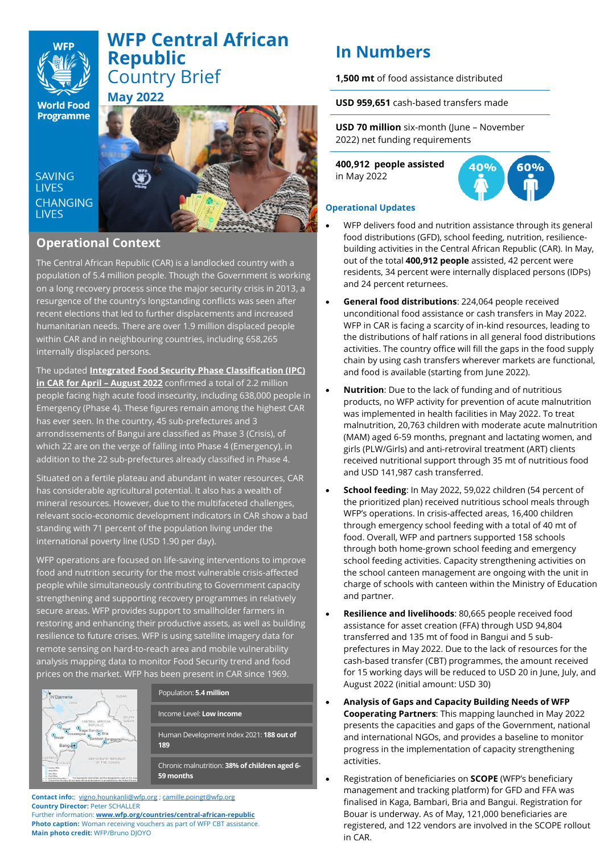# **WFP Central African Republic**  Country Brief

**World Food Programme** 

**SAVING LIVES CHANGING LIVES** 



# **Operational Context**

**May 2022**

The Central African Republic (CAR) is a landlocked country with a population of 5.4 million people. Though the Government is working on a long recovery process since the major security crisis in 2013, a resurgence of the country's longstanding conflicts was seen after recent elections that led to further displacements and increased humanitarian needs. There are over 1.9 million displaced people within CAR and in neighbouring countries, including 658,265 internally displaced persons.

The updated **[Integrated Food Security Phase Classification \(IPC\)](https://fscluster.org/central-african-republic/document/analyse-de-linsecurite-alimentaire-aigue)  [in CAR for April](https://fscluster.org/central-african-republic/document/analyse-de-linsecurite-alimentaire-aigue) – August 2022** confirmed a total of 2.2 million people facing high acute food insecurity, including 638,000 people in Emergency (Phase 4). These figures remain among the highest CAR has ever seen. In the country, 45 sub-prefectures and 3 arrondissements of Bangui are classified as Phase 3 (Crisis), of which 22 are on the verge of falling into Phase 4 (Emergency), in addition to the 22 sub-prefectures already classified in Phase 4.

Situated on a fertile plateau and abundant in water resources, CAR has considerable agricultural potential. It also has a wealth of mineral resources. However, due to the multifaceted challenges, relevant socio-economic development indicators in CAR show a bad standing with 71 percent of the population living under the international poverty line (USD 1.90 per day).

WFP operations are focused on life-saving interventions to improve food and nutrition security for the most vulnerable crisis-affected people while simultaneously contributing to Government capacity strengthening and supporting recovery programmes in relatively secure areas. WFP provides support to smallholder farmers in restoring and enhancing their productive assets, as well as building resilience to future crises. WFP is using satellite imagery data for remote sensing on hard-to-reach area and mobile vulnerability analysis mapping data to monitor Food Security trend and food prices on the market. WFP has been present in CAR since 1969.



Population: **5.4 million**

Income Level: **Low income**

Human Development Index 2021: **188 out of 189**

Chronic malnutrition: **38% of children aged 6- 59 months**

**Contact info:**; [vigno.hounkanli@wfp.org](mailto:vigno.hounkanli@wfp.org) [; camille.poingt@wfp.org](mailto:camille.poingt@wfp.org) **Country Director:** Peter SCHALLER Further information: **[www.wfp.org/countries/central-african-republic](http://www.wfp.org/countries/central-african-republic)**

**Photo caption:** Woman receiving vouchers as part of WFP CBT assistance. **Main photo credit:** WFP/Bruno DJOYO

# **In Numbers**

**1,500 mt** of food assistance distributed

**USD 959,651** cash-based transfers made

**USD 70 million** six-month (June – November 2022) net funding requirements

**400,912 people assisted**  in May 2022



## **Operational Updates**

- WFP delivers food and nutrition assistance through its general food distributions (GFD), school feeding, nutrition, resiliencebuilding activities in the Central African Republic (CAR). In May, out of the total **400,912 people** assisted, 42 percent were residents, 34 percent were internally displaced persons (IDPs) and 24 percent returnees.
- **General food distributions**: 224,064 people received unconditional food assistance or cash transfers in May 2022. WFP in CAR is facing a scarcity of in-kind resources, leading to the distributions of half rations in all general food distributions activities. The country office will fill the gaps in the food supply chain by using cash transfers wherever markets are functional, and food is available (starting from June 2022).
- **Nutrition**: Due to the lack of funding and of nutritious products, no WFP activity for prevention of acute malnutrition was implemented in health facilities in May 2022. To treat malnutrition, 20,763 children with moderate acute malnutrition (MAM) aged 6-59 months, pregnant and lactating women, and girls (PLW/Girls) and anti-retroviral treatment (ART) clients received nutritional support through 35 mt of nutritious food and USD 141,987 cash transferred.
- **School feeding**: In May 2022, 59,022 children (54 percent of the prioritized plan) received nutritious school meals through WFP's operations. In crisis-affected areas, 16,400 children through emergency school feeding with a total of 40 mt of food. Overall, WFP and partners supported 158 schools through both home-grown school feeding and emergency school feeding activities. Capacity strengthening activities on the school canteen management are ongoing with the unit in charge of schools with canteen within the Ministry of Education and partner.
- **Resilience and livelihoods**: 80,665 people received food assistance for asset creation (FFA) through USD 94,804 transferred and 135 mt of food in Bangui and 5 subprefectures in May 2022. Due to the lack of resources for the cash-based transfer (CBT) programmes, the amount received for 15 working days will be reduced to USD 20 in June, July, and August 2022 (initial amount: USD 30)
- **Analysis of Gaps and Capacity Building Needs of WFP Cooperating Partners**: This mapping launched in May 2022 presents the capacities and gaps of the Government, national and international NGOs, and provides a baseline to monitor progress in the implementation of capacity strengthening activities.
- Registration of beneficiaries on **SCOPE** (WFP's beneficiary management and tracking platform) for GFD and FFA was finalised in Kaga, Bambari, Bria and Bangui. Registration for Bouar is underway. As of May, 121,000 beneficiaries are registered, and 122 vendors are involved in the SCOPE rollout in CAR.